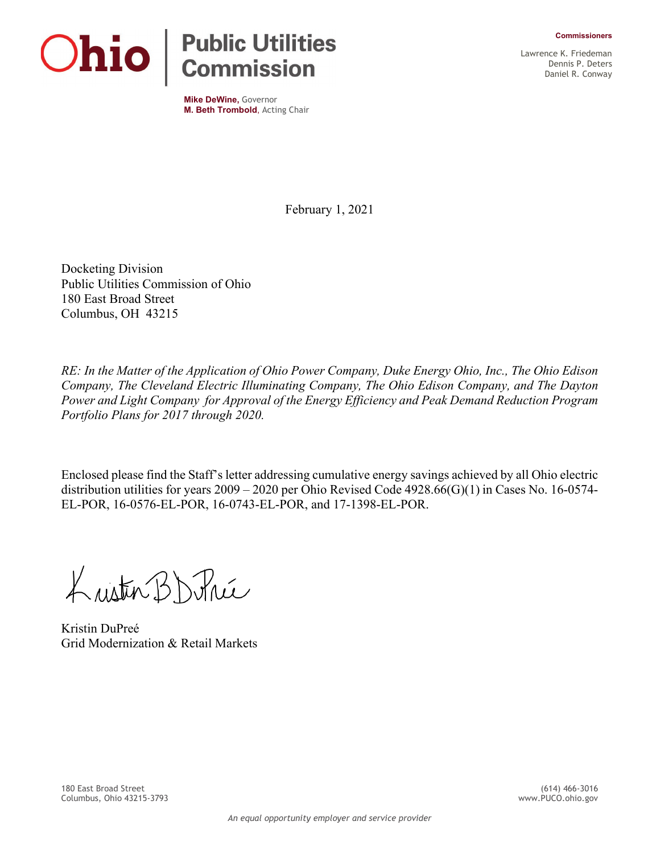

**Mike DeWine,** Governor **M. Beth Trombold**, Acting Chair Lawrence K. Friedeman Dennis P. Deters Daniel R. Conway

February 1, 2021

Docketing Division Public Utilities Commission of Ohio 180 East Broad Street Columbus, OH 43215

*RE: In the Matter of the Application of Ohio Power Company, Duke Energy Ohio, Inc., The Ohio Edison Company, The Cleveland Electric Illuminating Company, The Ohio Edison Company, and The Dayton Power and Light Company for Approval of the Energy Efficiency and Peak Demand Reduction Program Portfolio Plans for 2017 through 2020.*

Enclosed please find the Staff's letter addressing cumulative energy savings achieved by all Ohio electric distribution utilities for years 2009 – 2020 per Ohio Revised Code 4928.66(G)(1) in Cases No. 16-0574- EL-POR, 16-0576-EL-POR, 16-0743-EL-POR, and 17-1398-EL-POR.

Lusten BD Price

Kristin DuPreé Grid Modernization & Retail Markets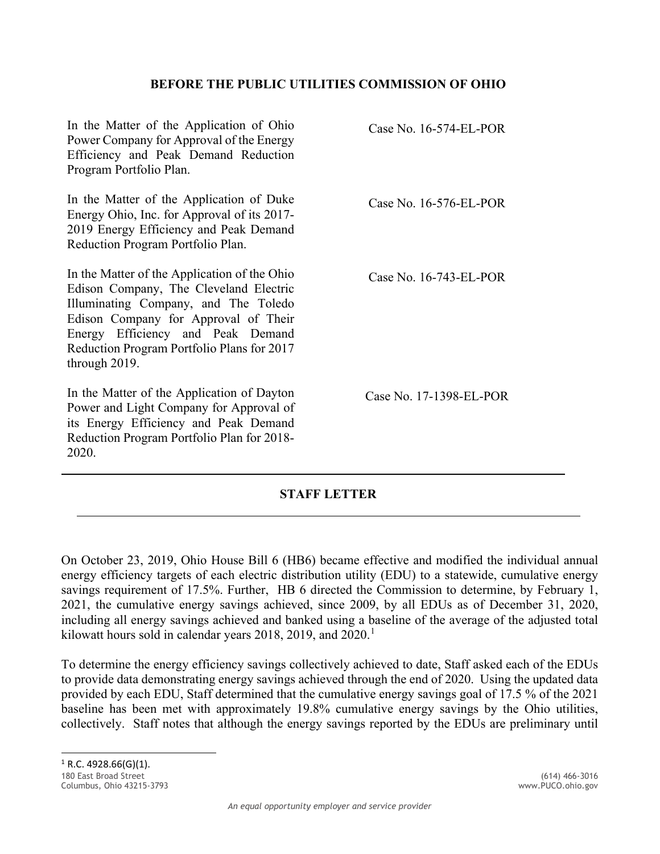## **BEFORE THE PUBLIC UTILITIES COMMISSION OF OHIO**

| In the Matter of the Application of Ohio<br>Power Company for Approval of the Energy<br>Efficiency and Peak Demand Reduction<br>Program Portfolio Plan.                                                                                                                    | Case No. $16-574$ -EL-POR |
|----------------------------------------------------------------------------------------------------------------------------------------------------------------------------------------------------------------------------------------------------------------------------|---------------------------|
| In the Matter of the Application of Duke<br>Energy Ohio, Inc. for Approval of its 2017-<br>2019 Energy Efficiency and Peak Demand<br>Reduction Program Portfolio Plan.                                                                                                     | Case No. $16-576$ -EL-POR |
| In the Matter of the Application of the Ohio<br>Edison Company, The Cleveland Electric<br>Illuminating Company, and The Toledo<br>Edison Company for Approval of Their<br>Energy Efficiency and Peak Demand<br>Reduction Program Portfolio Plans for 2017<br>through 2019. | Case No. $16-743$ -EL-POR |
| In the Matter of the Application of Dayton<br>Power and Light Company for Approval of<br>its Energy Efficiency and Peak Demand<br>Reduction Program Portfolio Plan for 2018-<br>2020.                                                                                      | Case No. 17-1398-EL-POR   |

## **STAFF LETTER**

On October 23, 2019, Ohio House Bill 6 (HB6) became effective and modified the individual annual energy efficiency targets of each electric distribution utility (EDU) to a statewide, cumulative energy savings requirement of 17.5%. Further, HB 6 directed the Commission to determine, by February 1, 2021, the cumulative energy savings achieved, since 2009, by all EDUs as of December 31, 2020, including all energy savings achieved and banked using a baseline of the average of the adjusted total kilowatt hours sold in calendar years 20[1](#page-1-0)8, 2019, and 2020.<sup>1</sup>

<span id="page-1-0"></span>To determine the energy efficiency savings collectively achieved to date, Staff asked each of the EDUs to provide data demonstrating energy savings achieved through the end of 2020. Using the updated data provided by each EDU, Staff determined that the cumulative energy savings goal of 17.5 % of the 2021 baseline has been met with approximately 19.8% cumulative energy savings by the Ohio utilities, collectively. Staff notes that although the energy savings reported by the EDUs are preliminary until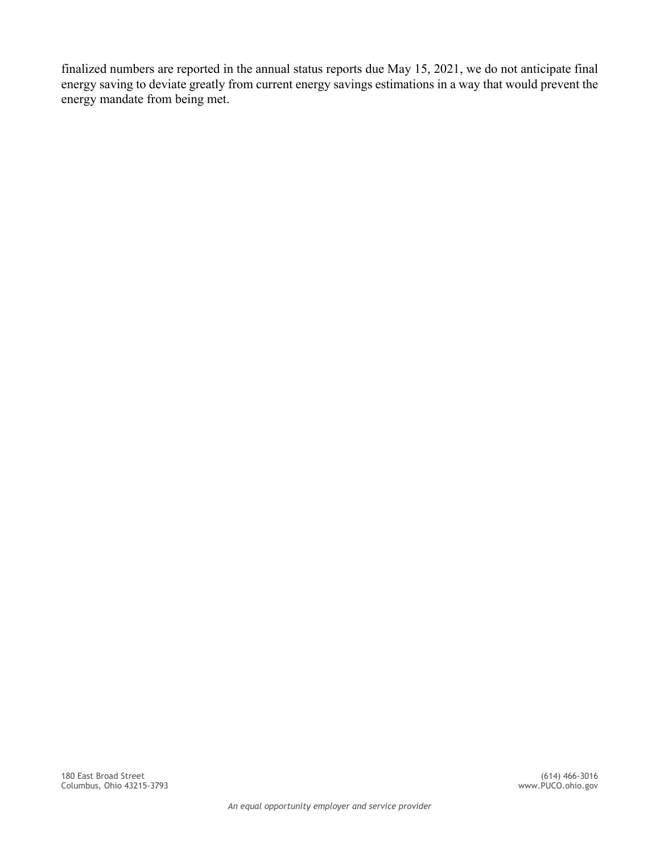finalized numbers are reported in the annual status reports due May 15, 2021, we do not anticipate final energy saving to deviate greatly from current energy savings estimations in a way that would prevent the energy mandate from being met.